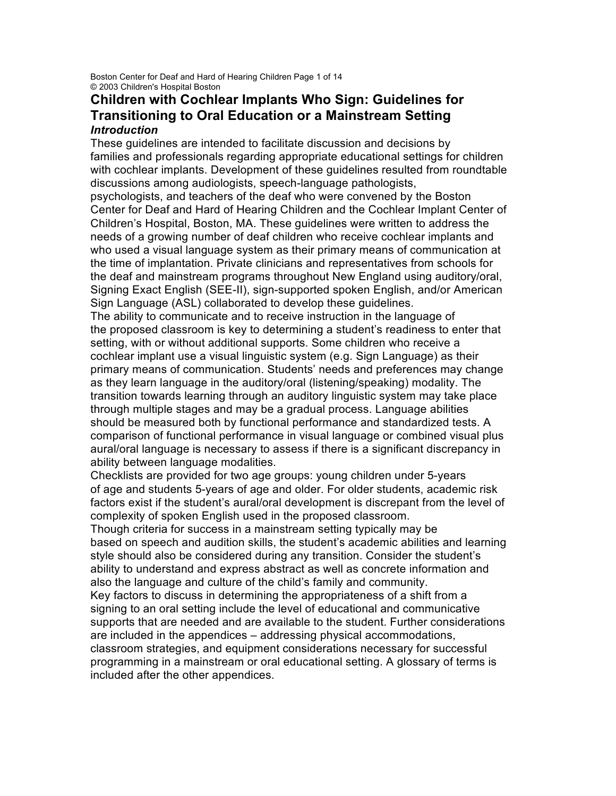Boston Center for Deaf and Hard of Hearing Children Page 1 of 14 © 2003 Children's Hospital Boston

# **Children with Cochlear Implants Who Sign: Guidelines for Transitioning to Oral Education or a Mainstream Setting** *Introduction*

These guidelines are intended to facilitate discussion and decisions by families and professionals regarding appropriate educational settings for children with cochlear implants. Development of these guidelines resulted from roundtable discussions among audiologists, speech-language pathologists,

psychologists, and teachers of the deaf who were convened by the Boston Center for Deaf and Hard of Hearing Children and the Cochlear Implant Center of Children's Hospital, Boston, MA. These guidelines were written to address the needs of a growing number of deaf children who receive cochlear implants and who used a visual language system as their primary means of communication at the time of implantation. Private clinicians and representatives from schools for the deaf and mainstream programs throughout New England using auditory/oral, Signing Exact English (SEE-II), sign-supported spoken English, and/or American Sign Language (ASL) collaborated to develop these guidelines.

The ability to communicate and to receive instruction in the language of the proposed classroom is key to determining a student's readiness to enter that setting, with or without additional supports. Some children who receive a cochlear implant use a visual linguistic system (e.g. Sign Language) as their primary means of communication. Students' needs and preferences may change as they learn language in the auditory/oral (listening/speaking) modality. The transition towards learning through an auditory linguistic system may take place through multiple stages and may be a gradual process. Language abilities should be measured both by functional performance and standardized tests. A comparison of functional performance in visual language or combined visual plus aural/oral language is necessary to assess if there is a significant discrepancy in ability between language modalities.

Checklists are provided for two age groups: young children under 5-years of age and students 5-years of age and older. For older students, academic risk factors exist if the student's aural/oral development is discrepant from the level of complexity of spoken English used in the proposed classroom.

Though criteria for success in a mainstream setting typically may be based on speech and audition skills, the student's academic abilities and learning style should also be considered during any transition. Consider the student's ability to understand and express abstract as well as concrete information and also the language and culture of the child's family and community.

Key factors to discuss in determining the appropriateness of a shift from a signing to an oral setting include the level of educational and communicative supports that are needed and are available to the student. Further considerations are included in the appendices – addressing physical accommodations, classroom strategies, and equipment considerations necessary for successful programming in a mainstream or oral educational setting. A glossary of terms is included after the other appendices.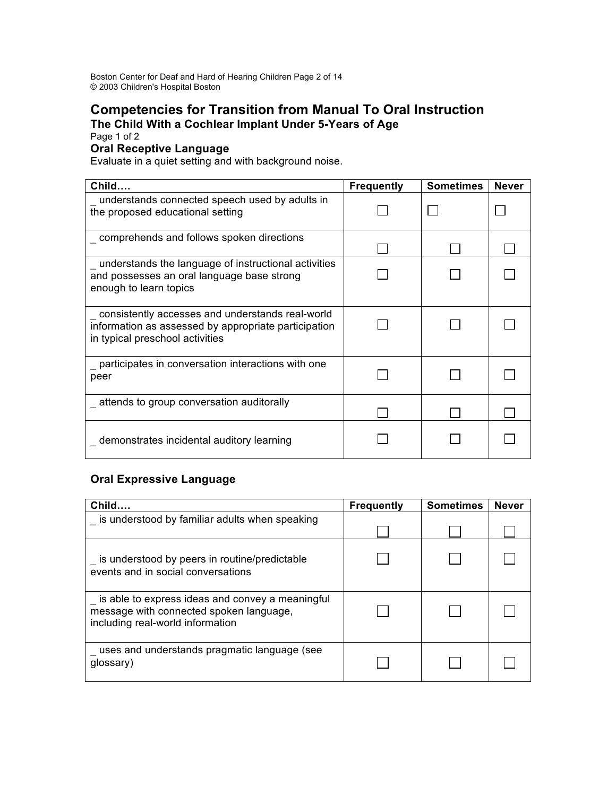Boston Center for Deaf and Hard of Hearing Children Page 2 of 14 © 2003 Children's Hospital Boston

# **Competencies for Transition from Manual To Oral Instruction The Child With a Cochlear Implant Under 5-Years of Age**

Page 1 of 2

# **Oral Receptive Language**

Evaluate in a quiet setting and with background noise.

| Child                                                                                                                                       | <b>Frequently</b> | <b>Sometimes</b> | <b>Never</b> |
|---------------------------------------------------------------------------------------------------------------------------------------------|-------------------|------------------|--------------|
| understands connected speech used by adults in<br>the proposed educational setting                                                          |                   |                  |              |
| comprehends and follows spoken directions                                                                                                   |                   |                  |              |
| understands the language of instructional activities<br>and possesses an oral language base strong<br>enough to learn topics                |                   |                  |              |
| consistently accesses and understands real-world<br>information as assessed by appropriate participation<br>in typical preschool activities |                   |                  |              |
| participates in conversation interactions with one<br>peer                                                                                  |                   |                  |              |
| attends to group conversation auditorally                                                                                                   |                   |                  |              |
| demonstrates incidental auditory learning                                                                                                   |                   |                  |              |

# **Oral Expressive Language**

| Child                                                                                                                           | <b>Frequently</b> | <b>Sometimes</b> | <b>Never</b> |
|---------------------------------------------------------------------------------------------------------------------------------|-------------------|------------------|--------------|
| is understood by familiar adults when speaking                                                                                  |                   |                  |              |
| is understood by peers in routine/predictable<br>events and in social conversations                                             |                   |                  |              |
| is able to express ideas and convey a meaningful<br>message with connected spoken language,<br>including real-world information |                   |                  |              |
| uses and understands pragmatic language (see<br>glossary)                                                                       |                   |                  |              |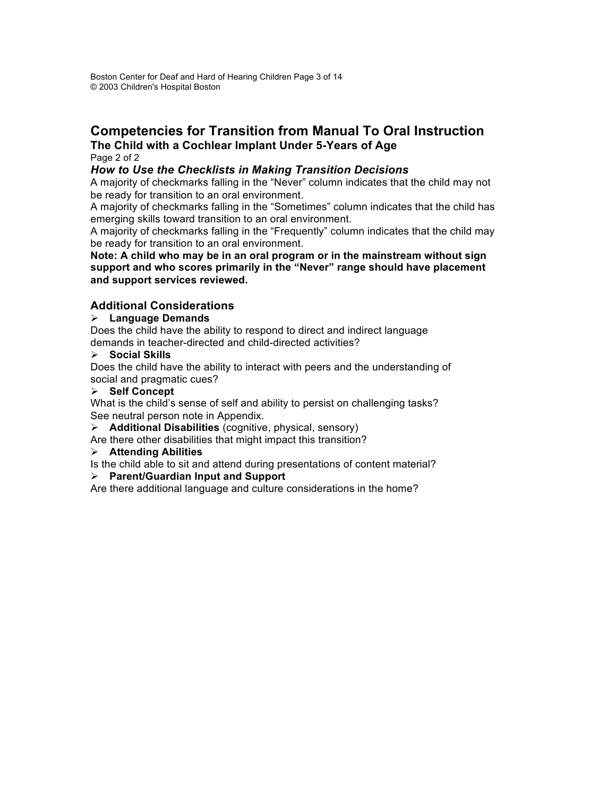# **Competencies for Transition from Manual To Oral Instruction The Child with a Cochlear Implant Under 5-Years of Age**

#### Page 2 of 2

### *How to Use the Checklists in Making Transition Decisions*

A majority of checkmarks falling in the "Never" column indicates that the child may not be ready for transition to an oral environment.

A majority of checkmarks falling in the "Sometimes" column indicates that the child has emerging skills toward transition to an oral environment.

A majority of checkmarks falling in the "Frequently" column indicates that the child may be ready for transition to an oral environment.

**Note: A child who may be in an oral program or in the mainstream without sign support and who scores primarily in the "Never" range should have placement and support services reviewed.**

## **Additional Considerations**

### **Language Demands**

Does the child have the ability to respond to direct and indirect language demands in teacher-directed and child-directed activities?

### **Social Skills**

Does the child have the ability to interact with peers and the understanding of social and pragmatic cues?

### **Self Concept**

What is the child's sense of self and ability to persist on challenging tasks? See neutral person note in Appendix.

**Additional Disabilities** (cognitive, physical, sensory)

Are there other disabilities that might impact this transition?

### **Attending Abilities**

Is the child able to sit and attend during presentations of content material?

### **Parent/Guardian Input and Support**

Are there additional language and culture considerations in the home?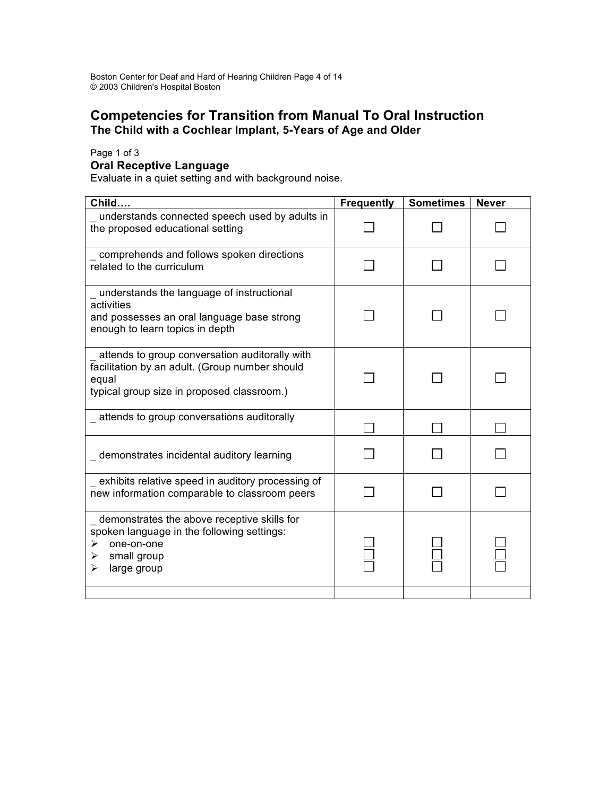# **Competencies for Transition from Manual To Oral Instruction The Child with a Cochlear Implant, 5-Years of Age and Older**

Page 1 of 3

### **Oral Receptive Language**

Evaluate in a quiet setting and with background noise.

| Child                                                                                                                                                   | <b>Frequently</b> | <b>Sometimes</b> | <b>Never</b> |
|---------------------------------------------------------------------------------------------------------------------------------------------------------|-------------------|------------------|--------------|
| understands connected speech used by adults in<br>the proposed educational setting                                                                      |                   |                  |              |
| comprehends and follows spoken directions<br>related to the curriculum                                                                                  |                   |                  |              |
| understands the language of instructional<br>activities<br>and possesses an oral language base strong<br>enough to learn topics in depth                |                   |                  |              |
| attends to group conversation auditorally with<br>facilitation by an adult. (Group number should<br>equal<br>typical group size in proposed classroom.) |                   |                  |              |
| attends to group conversations auditorally                                                                                                              |                   |                  |              |
| demonstrates incidental auditory learning                                                                                                               |                   |                  |              |
| exhibits relative speed in auditory processing of<br>new information comparable to classroom peers                                                      |                   |                  |              |
| demonstrates the above receptive skills for<br>spoken language in the following settings:<br>one-on-one<br>➤<br>small group<br>➤<br>large group<br>⋗    |                   |                  |              |
|                                                                                                                                                         |                   |                  |              |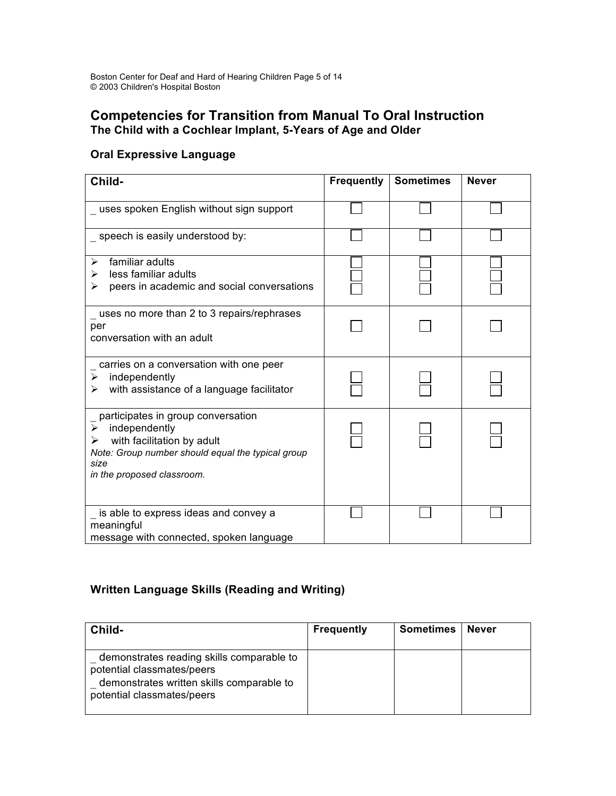# **Competencies for Transition from Manual To Oral Instruction The Child with a Cochlear Implant, 5-Years of Age and Older**

# **Oral Expressive Language**

| Child-                                                                                                                                                                                 | <b>Frequently</b> | <b>Sometimes</b> | <b>Never</b> |
|----------------------------------------------------------------------------------------------------------------------------------------------------------------------------------------|-------------------|------------------|--------------|
| uses spoken English without sign support                                                                                                                                               |                   |                  |              |
| _ speech is easily understood by:                                                                                                                                                      |                   |                  |              |
| familiar adults<br>➤<br>less familiar adults<br>➤<br>peers in academic and social conversations<br>➤                                                                                   |                   |                  |              |
| uses no more than 2 to 3 repairs/rephrases<br>per<br>conversation with an adult                                                                                                        |                   |                  |              |
| carries on a conversation with one peer<br>independently<br>➤<br>with assistance of a language facilitator<br>➤                                                                        |                   |                  |              |
| participates in group conversation<br>independently<br>➤<br>with facilitation by adult<br>➤<br>Note: Group number should equal the typical group<br>size<br>in the proposed classroom. |                   |                  |              |
| is able to express ideas and convey a<br>meaningful<br>message with connected, spoken language                                                                                         |                   |                  |              |

# **Written Language Skills (Reading and Writing)**

| Child-                                                                                                                                             | <b>Frequently</b> | <b>Sometimes</b> | Never |
|----------------------------------------------------------------------------------------------------------------------------------------------------|-------------------|------------------|-------|
| demonstrates reading skills comparable to<br>potential classmates/peers<br>demonstrates written skills comparable to<br>potential classmates/peers |                   |                  |       |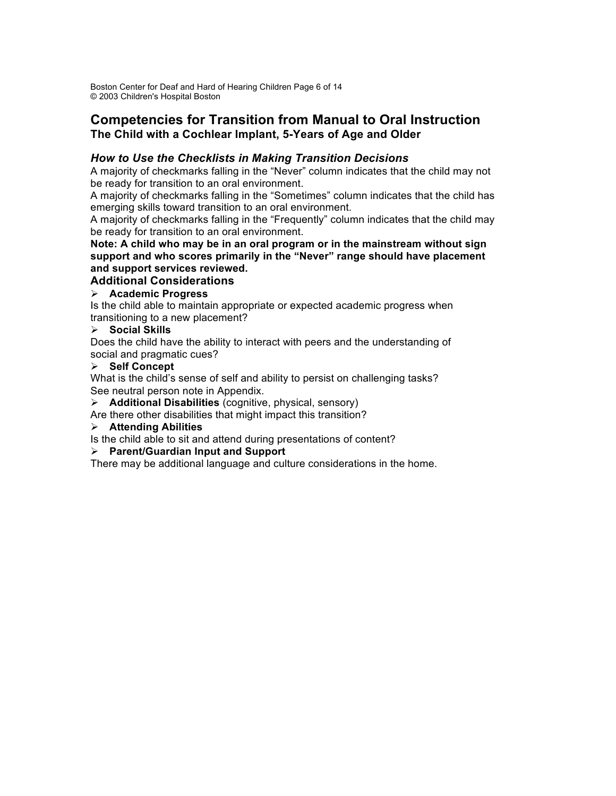Boston Center for Deaf and Hard of Hearing Children Page 6 of 14 © 2003 Children's Hospital Boston

# **Competencies for Transition from Manual to Oral Instruction The Child with a Cochlear Implant, 5-Years of Age and Older**

### *How to Use the Checklists in Making Transition Decisions*

A majority of checkmarks falling in the "Never" column indicates that the child may not be ready for transition to an oral environment.

A majority of checkmarks falling in the "Sometimes" column indicates that the child has emerging skills toward transition to an oral environment.

A majority of checkmarks falling in the "Frequently" column indicates that the child may be ready for transition to an oral environment.

**Note: A child who may be in an oral program or in the mainstream without sign support and who scores primarily in the "Never" range should have placement and support services reviewed.**

### **Additional Considerations**

### **Academic Progress**

Is the child able to maintain appropriate or expected academic progress when transitioning to a new placement?

### **Social Skills**

Does the child have the ability to interact with peers and the understanding of social and pragmatic cues?

### **Self Concept**

What is the child's sense of self and ability to persist on challenging tasks? See neutral person note in Appendix.

**Additional Disabilities** (cognitive, physical, sensory)

Are there other disabilities that might impact this transition?

### **Attending Abilities**

Is the child able to sit and attend during presentations of content?

### **Parent/Guardian Input and Support**

There may be additional language and culture considerations in the home.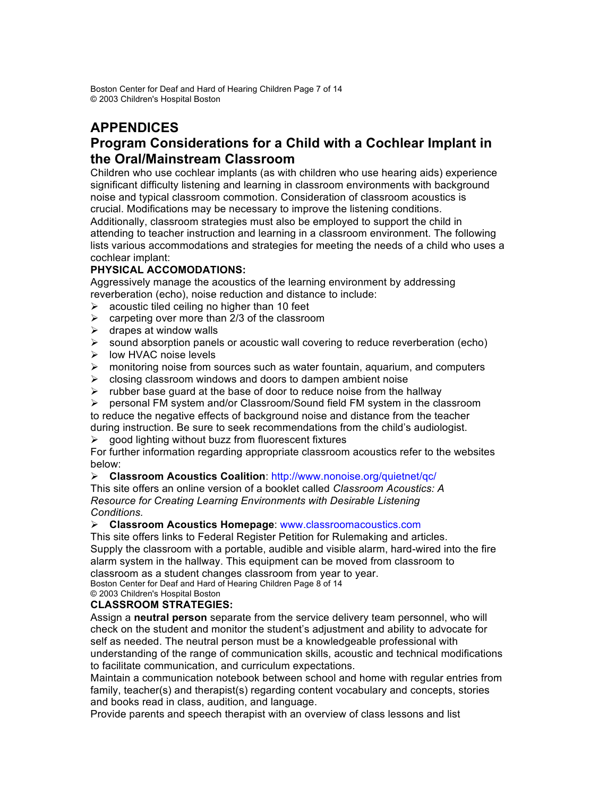Boston Center for Deaf and Hard of Hearing Children Page 7 of 14 © 2003 Children's Hospital Boston

# **APPENDICES Program Considerations for a Child with a Cochlear Implant in the Oral/Mainstream Classroom**

Children who use cochlear implants (as with children who use hearing aids) experience significant difficulty listening and learning in classroom environments with background noise and typical classroom commotion. Consideration of classroom acoustics is crucial. Modifications may be necessary to improve the listening conditions.

Additionally, classroom strategies must also be employed to support the child in attending to teacher instruction and learning in a classroom environment. The following lists various accommodations and strategies for meeting the needs of a child who uses a cochlear implant:

## **PHYSICAL ACCOMODATIONS:**

Aggressively manage the acoustics of the learning environment by addressing reverberation (echo), noise reduction and distance to include:

- $\triangleright$  acoustic tiled ceiling no higher than 10 feet
- $\geq$  carpeting over more than 2/3 of the classroom
- $\triangleright$  drapes at window walls
- $\triangleright$  sound absorption panels or acoustic wall covering to reduce reverberation (echo)
- $\triangleright$  low HVAC noise levels
- $\triangleright$  monitoring noise from sources such as water fountain, aquarium, and computers
- $\triangleright$  closing classroom windows and doors to dampen ambient noise
- $\triangleright$  rubber base guard at the base of door to reduce noise from the hallway
- personal FM system and/or Classroom/Sound field FM system in the classroom to reduce the negative effects of background noise and distance from the teacher
- during instruction. Be sure to seek recommendations from the child's audiologist.
- $\triangleright$  good lighting without buzz from fluorescent fixtures

For further information regarding appropriate classroom acoustics refer to the websites below:

**Classroom Acoustics Coalition**: http://www.nonoise.org/quietnet/qc/

This site offers an online version of a booklet called *Classroom Acoustics: A Resource for Creating Learning Environments with Desirable Listening Conditions.*

### **Classroom Acoustics Homepage**: www.classroomacoustics.com

This site offers links to Federal Register Petition for Rulemaking and articles. Supply the classroom with a portable, audible and visible alarm, hard-wired into the fire alarm system in the hallway. This equipment can be moved from classroom to classroom as a student changes classroom from year to year.

Boston Center for Deaf and Hard of Hearing Children Page 8 of 14

© 2003 Children's Hospital Boston

## **CLASSROOM STRATEGIES:**

Assign a **neutral person** separate from the service delivery team personnel, who will check on the student and monitor the student's adjustment and ability to advocate for self as needed. The neutral person must be a knowledgeable professional with understanding of the range of communication skills, acoustic and technical modifications to facilitate communication, and curriculum expectations.

Maintain a communication notebook between school and home with regular entries from family, teacher(s) and therapist(s) regarding content vocabulary and concepts, stories and books read in class, audition, and language.

Provide parents and speech therapist with an overview of class lessons and list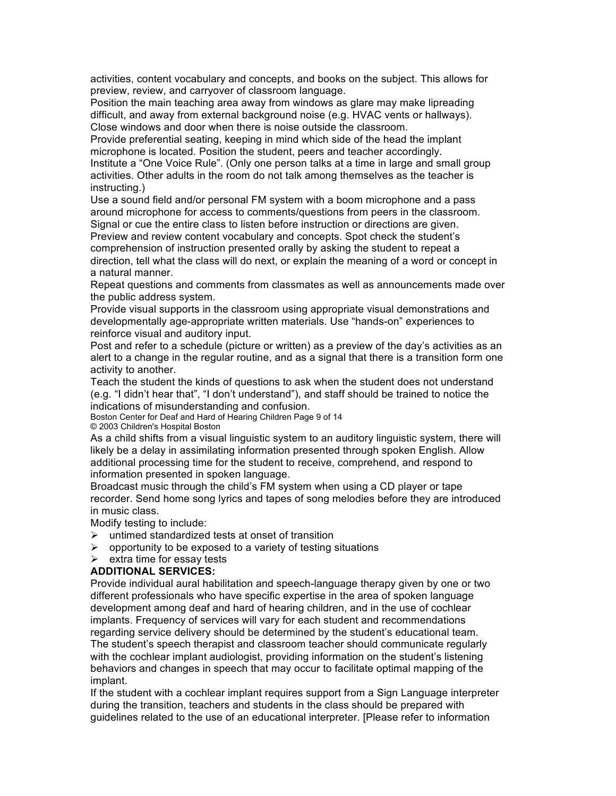activities, content vocabulary and concepts, and books on the subject. This allows for preview, review, and carryover of classroom language.

Position the main teaching area away from windows as glare may make lipreading difficult, and away from external background noise (e.g. HVAC vents or hallways). Close windows and door when there is noise outside the classroom.

Provide preferential seating, keeping in mind which side of the head the implant microphone is located. Position the student, peers and teacher accordingly. Institute a "One Voice Rule". (Only one person talks at a time in large and small group activities. Other adults in the room do not talk among themselves as the teacher is instructing.)

Use a sound field and/or personal FM system with a boom microphone and a pass around microphone for access to comments/questions from peers in the classroom. Signal or cue the entire class to listen before instruction or directions are given.

Preview and review content vocabulary and concepts. Spot check the student's comprehension of instruction presented orally by asking the student to repeat a direction, tell what the class will do next, or explain the meaning of a word or concept in a natural manner.

Repeat questions and comments from classmates as well as announcements made over the public address system.

Provide visual supports in the classroom using appropriate visual demonstrations and developmentally age-appropriate written materials. Use "hands-on" experiences to reinforce visual and auditory input.

Post and refer to a schedule (picture or written) as a preview of the day's activities as an alert to a change in the regular routine, and as a signal that there is a transition form one activity to another.

Teach the student the kinds of questions to ask when the student does not understand (e.g. "I didn't hear that", "I don't understand"), and staff should be trained to notice the indications of misunderstanding and confusion.

Boston Center for Deaf and Hard of Hearing Children Page 9 of 14 © 2003 Children's Hospital Boston

As a child shifts from a visual linguistic system to an auditory linguistic system, there will likely be a delay in assimilating information presented through spoken English. Allow additional processing time for the student to receive, comprehend, and respond to information presented in spoken language.

Broadcast music through the child's FM system when using a CD player or tape recorder. Send home song lyrics and tapes of song melodies before they are introduced in music class.

Modify testing to include:

- $\triangleright$  untimed standardized tests at onset of transition
- $\triangleright$  opportunity to be exposed to a variety of testing situations

 $\triangleright$  extra time for essay tests

#### **ADDITIONAL SERVICES:**

Provide individual aural habilitation and speech-language therapy given by one or two different professionals who have specific expertise in the area of spoken language development among deaf and hard of hearing children, and in the use of cochlear implants. Frequency of services will vary for each student and recommendations regarding service delivery should be determined by the student's educational team. The student's speech therapist and classroom teacher should communicate regularly with the cochlear implant audiologist, providing information on the student's listening behaviors and changes in speech that may occur to facilitate optimal mapping of the implant.

If the student with a cochlear implant requires support from a Sign Language interpreter during the transition, teachers and students in the class should be prepared with guidelines related to the use of an educational interpreter. [Please refer to information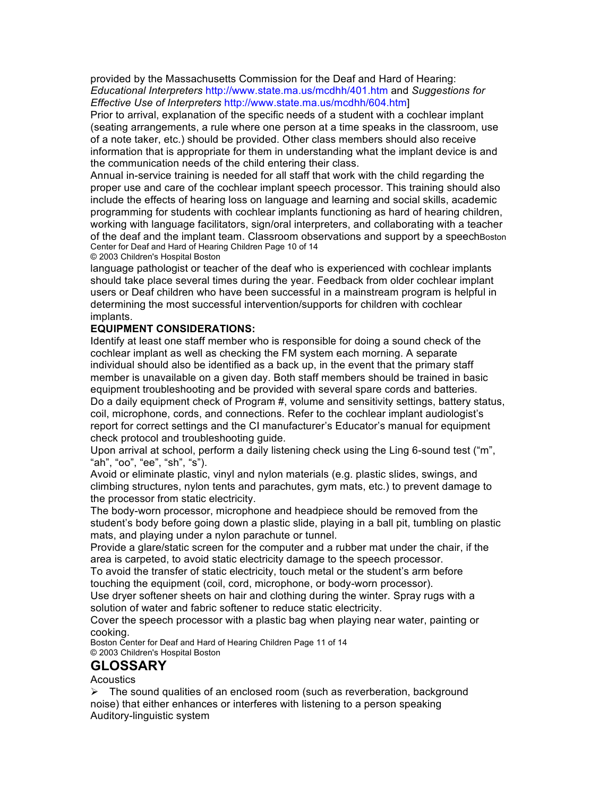provided by the Massachusetts Commission for the Deaf and Hard of Hearing: *Educational Interpreters* http://www.state.ma.us/mcdhh/401.htm and *Suggestions for Effective Use of Interpreters* http://www.state.ma.us/mcdhh/604.htm]

Prior to arrival, explanation of the specific needs of a student with a cochlear implant (seating arrangements, a rule where one person at a time speaks in the classroom, use of a note taker, etc.) should be provided. Other class members should also receive information that is appropriate for them in understanding what the implant device is and the communication needs of the child entering their class.

Annual in-service training is needed for all staff that work with the child regarding the proper use and care of the cochlear implant speech processor. This training should also include the effects of hearing loss on language and learning and social skills, academic programming for students with cochlear implants functioning as hard of hearing children, working with language facilitators, sign/oral interpreters, and collaborating with a teacher of the deaf and the implant team. Classroom observations and support by a speechBoston Center for Deaf and Hard of Hearing Children Page 10 of 14

© 2003 Children's Hospital Boston

language pathologist or teacher of the deaf who is experienced with cochlear implants should take place several times during the year. Feedback from older cochlear implant users or Deaf children who have been successful in a mainstream program is helpful in determining the most successful intervention/supports for children with cochlear implants.

### **EQUIPMENT CONSIDERATIONS:**

Identify at least one staff member who is responsible for doing a sound check of the cochlear implant as well as checking the FM system each morning. A separate individual should also be identified as a back up, in the event that the primary staff member is unavailable on a given day. Both staff members should be trained in basic equipment troubleshooting and be provided with several spare cords and batteries. Do a daily equipment check of Program #, volume and sensitivity settings, battery status, coil, microphone, cords, and connections. Refer to the cochlear implant audiologist's report for correct settings and the CI manufacturer's Educator's manual for equipment check protocol and troubleshooting guide.

Upon arrival at school, perform a daily listening check using the Ling 6-sound test ("m", "ah", "oo", "ee", "sh", "s").

Avoid or eliminate plastic, vinyl and nylon materials (e.g. plastic slides, swings, and climbing structures, nylon tents and parachutes, gym mats, etc.) to prevent damage to the processor from static electricity.

The body-worn processor, microphone and headpiece should be removed from the student's body before going down a plastic slide, playing in a ball pit, tumbling on plastic mats, and playing under a nylon parachute or tunnel.

Provide a glare/static screen for the computer and a rubber mat under the chair, if the area is carpeted, to avoid static electricity damage to the speech processor.

To avoid the transfer of static electricity, touch metal or the student's arm before touching the equipment (coil, cord, microphone, or body-worn processor).

Use dryer softener sheets on hair and clothing during the winter. Spray rugs with a solution of water and fabric softener to reduce static electricity.

Cover the speech processor with a plastic bag when playing near water, painting or cooking.

Boston Center for Deaf and Hard of Hearing Children Page 11 of 14 © 2003 Children's Hospital Boston

# **GLOSSARY**

**Acoustics** 

 $\triangleright$  The sound qualities of an enclosed room (such as reverberation, background noise) that either enhances or interferes with listening to a person speaking Auditory-linguistic system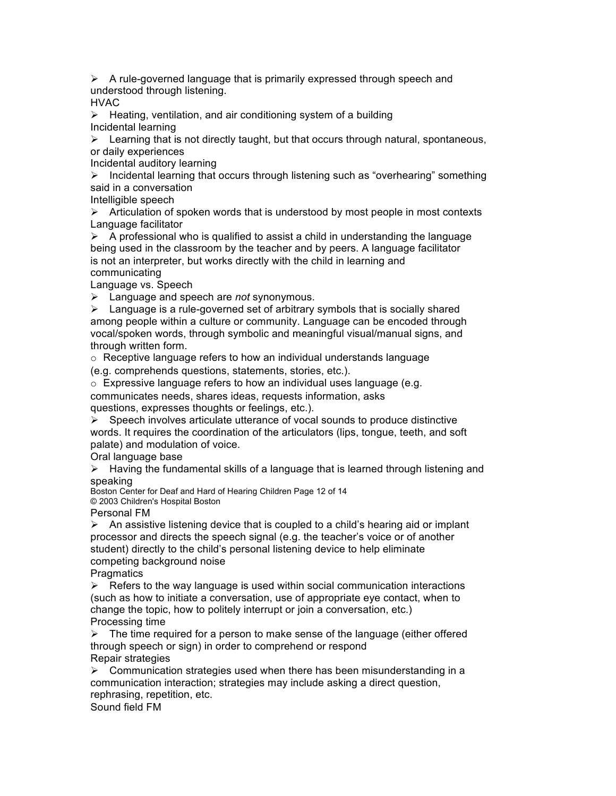$\triangleright$  A rule-governed language that is primarily expressed through speech and understood through listening.

HVAC

 $\triangleright$  Heating, ventilation, and air conditioning system of a building Incidental learning

 $\triangleright$  Learning that is not directly taught, but that occurs through natural, spontaneous, or daily experiences

Incidental auditory learning

 $\triangleright$  Incidental learning that occurs through listening such as "overhearing" something said in a conversation

Intelligible speech

 $\triangleright$  Articulation of spoken words that is understood by most people in most contexts Language facilitator

 $\triangleright$  A professional who is qualified to assist a child in understanding the language being used in the classroom by the teacher and by peers. A language facilitator is not an interpreter, but works directly with the child in learning and communicating

Language vs. Speech

Language and speech are *not* synonymous.

 $\triangleright$  Language is a rule-governed set of arbitrary symbols that is socially shared among people within a culture or community. Language can be encoded through vocal/spoken words, through symbolic and meaningful visual/manual signs, and through written form.

 $\circ$  Receptive language refers to how an individual understands language

(e.g. comprehends questions, statements, stories, etc.).

o Expressive language refers to how an individual uses language (e.g.

communicates needs, shares ideas, requests information, asks questions, expresses thoughts or feelings, etc.).

 $\triangleright$  Speech involves articulate utterance of vocal sounds to produce distinctive words. It requires the coordination of the articulators (lips, tongue, teeth, and soft palate) and modulation of voice.

Oral language base

 $\triangleright$  Having the fundamental skills of a language that is learned through listening and speaking

Boston Center for Deaf and Hard of Hearing Children Page 12 of 14 © 2003 Children's Hospital Boston

Personal FM

 $\triangleright$  An assistive listening device that is coupled to a child's hearing aid or implant processor and directs the speech signal (e.g. the teacher's voice or of another student) directly to the child's personal listening device to help eliminate competing background noise

**Pragmatics** 

 $\triangleright$  Refers to the way language is used within social communication interactions (such as how to initiate a conversation, use of appropriate eye contact, when to change the topic, how to politely interrupt or join a conversation, etc.) Processing time

 $\triangleright$  The time required for a person to make sense of the language (either offered through speech or sign) in order to comprehend or respond Repair strategies

 $\triangleright$  Communication strategies used when there has been misunderstanding in a communication interaction; strategies may include asking a direct question, rephrasing, repetition, etc.

Sound field FM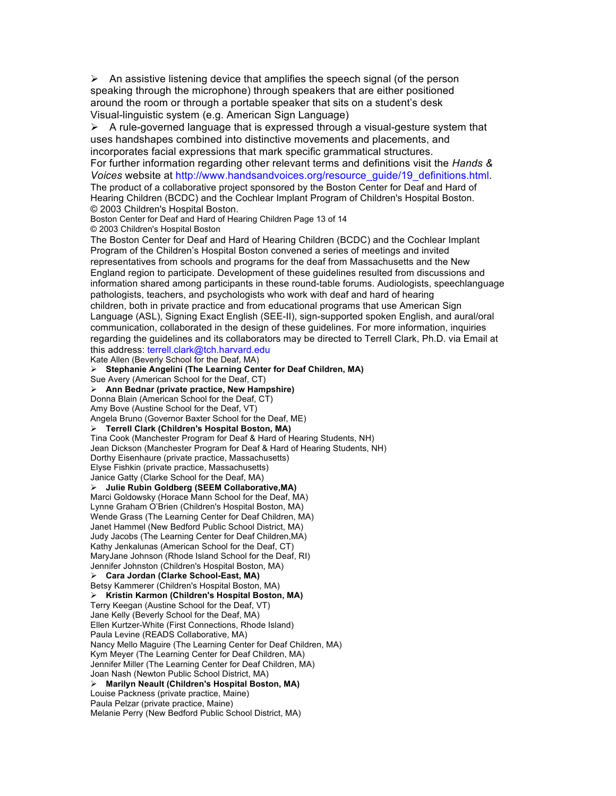$\triangleright$  An assistive listening device that amplifies the speech signal (of the person speaking through the microphone) through speakers that are either positioned around the room or through a portable speaker that sits on a student's desk Visual-linguistic system (e.g. American Sign Language)

 $\triangleright$  A rule-governed language that is expressed through a visual-gesture system that uses handshapes combined into distinctive movements and placements, and incorporates facial expressions that mark specific grammatical structures. For further information regarding other relevant terms and definitions visit the *Hands & Voices* website at http://www.handsandvoices.org/resource\_guide/19\_definitions.html. The product of a collaborative project sponsored by the Boston Center for Deaf and Hard of Hearing Children (BCDC) and the Cochlear Implant Program of Children's Hospital Boston. © 2003 Children's Hospital Boston. Boston Center for Deaf and Hard of Hearing Children Page 13 of 14 © 2003 Children's Hospital Boston The Boston Center for Deaf and Hard of Hearing Children (BCDC) and the Cochlear Implant Program of the Children's Hospital Boston convened a series of meetings and invited representatives from schools and programs for the deaf from Massachusetts and the New England region to participate. Development of these guidelines resulted from discussions and information shared among participants in these round-table forums. Audiologists, speechlanguage pathologists, teachers, and psychologists who work with deaf and hard of hearing children, both in private practice and from educational programs that use American Sign Language (ASL), Signing Exact English (SEE-II), sign-supported spoken English, and aural/oral communication, collaborated in the design of these guidelines. For more information, inquiries regarding the guidelines and its collaborators may be directed to Terrell Clark, Ph.D. via Email at this address: terrell.clark@tch.harvard.edu Kate Allen (Beverly School for the Deaf, MA) **Stephanie Angelini (The Learning Center for Deaf Children, MA)** Sue Avery (American School for the Deaf, CT) **Ann Bednar (private practice, New Hampshire)** Donna Blain (American School for the Deaf, CT) Amy Bove (Austine School for the Deaf, VT) Angela Bruno (Governor Baxter School for the Deaf, ME) **Terrell Clark (Children's Hospital Boston, MA)** Tina Cook (Manchester Program for Deaf & Hard of Hearing Students, NH) Jean Dickson (Manchester Program for Deaf & Hard of Hearing Students, NH) Dorthy Eisenhaure (private practice, Massachusetts) Elyse Fishkin (private practice, Massachusetts) Janice Gatty (Clarke School for the Deaf, MA) **Julie Rubin Goldberg (SEEM Collaborative,MA)** Marci Goldowsky (Horace Mann School for the Deaf, MA) Lynne Graham O'Brien (Children's Hospital Boston, MA) Wende Grass (The Learning Center for Deaf Children, MA) Janet Hammel (New Bedford Public School District, MA) Judy Jacobs (The Learning Center for Deaf Children,MA) Kathy Jenkalunas (American School for the Deaf, CT) MaryJane Johnson (Rhode Island School for the Deaf, RI) Jennifer Johnston (Children's Hospital Boston, MA) **Cara Jordan (Clarke School-East, MA)** Betsy Kammerer (Children's Hospital Boston, MA) **Kristin Karmon (Children's Hospital Boston, MA)** Terry Keegan (Austine School for the Deaf, VT) Jane Kelly (Beverly School for the Deaf, MA) Ellen Kurtzer-White (First Connections, Rhode Island) Paula Levine (READS Collaborative, MA) Nancy Mello Maguire (The Learning Center for Deaf Children, MA) Kym Meyer (The Learning Center for Deaf Children, MA) Jennifer Miller (The Learning Center for Deaf Children, MA) Joan Nash (Newton Public School District, MA) **Marilyn Neault (Children's Hospital Boston, MA)** Louise Packness (private practice, Maine) Paula Pelzar (private practice, Maine) Melanie Perry (New Bedford Public School District, MA)